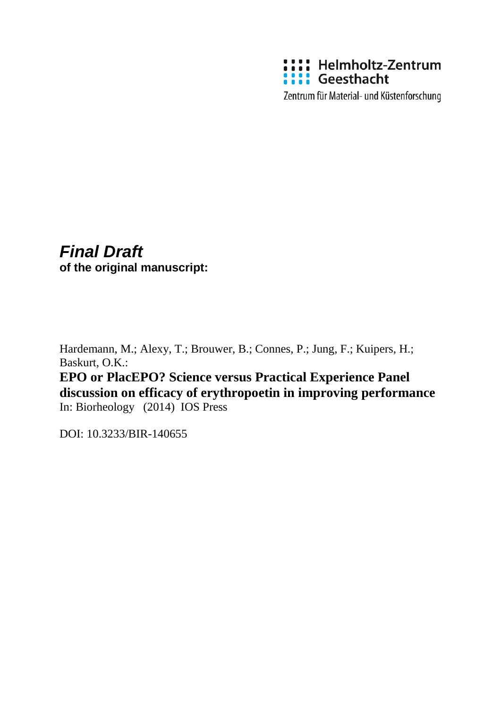

Zentrum für Material- und Küstenforschung

# *Final Draft* **of the original manuscript:**

Hardemann, M.; Alexy, T.; Brouwer, B.; Connes, P.; Jung, F.; Kuipers, H.; Baskurt, O.K.:

**EPO or PlacEPO? Science versus Practical Experience Panel discussion on efficacy of erythropoetin in improving performance** In: Biorheology (2014) IOS Press

DOI: 10.3233/BIR-140655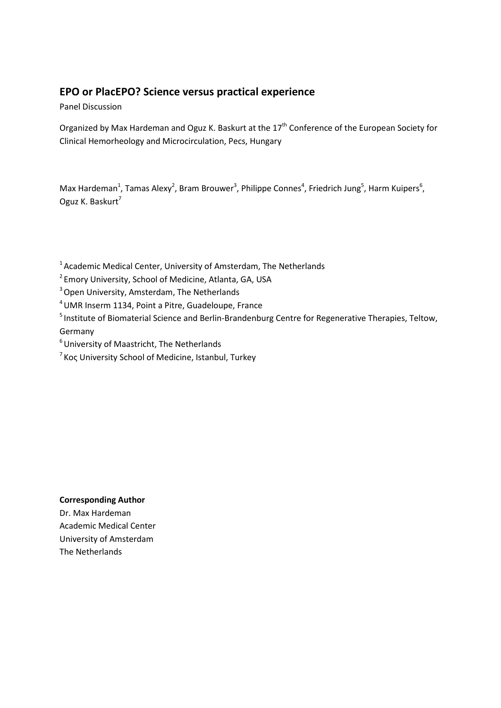## **EPO or PlacEPO? Science versus practical experience**

Panel Discussion

Organized by Max Hardeman and Oguz K. Baskurt at the 17<sup>th</sup> Conference of the European Society for Clinical Hemorheology and Microcirculation, Pecs, Hungary

Max Hardeman<sup>1</sup>, Tamas Alexy<sup>2</sup>, Bram Brouwer<sup>3</sup>, Philippe Connes<sup>4</sup>, Friedrich Jung<sup>5</sup>, Harm Kuipers<sup>6</sup>, Oguz K. Baskurt<sup>7</sup>

<sup>1</sup> Academic Medical Center, University of Amsterdam, The Netherlands

<sup>2</sup> Emory University, School of Medicine, Atlanta, GA, USA

<sup>3</sup> Open University, Amsterdam, The Netherlands

4UMR Inserm 1134, Point a Pitre, Guadeloupe, France

<sup>5</sup> Institute of Biomaterial Science and Berlin-Brandenburg Centre for Regenerative Therapies, Teltow, Germany

<sup>6</sup> University of Maastricht, The Netherlands

 $7$  Koç University School of Medicine, Istanbul, Turkey

### **Corresponding Author**

Dr. Max Hardeman Academic Medical Center University of Amsterdam The Netherlands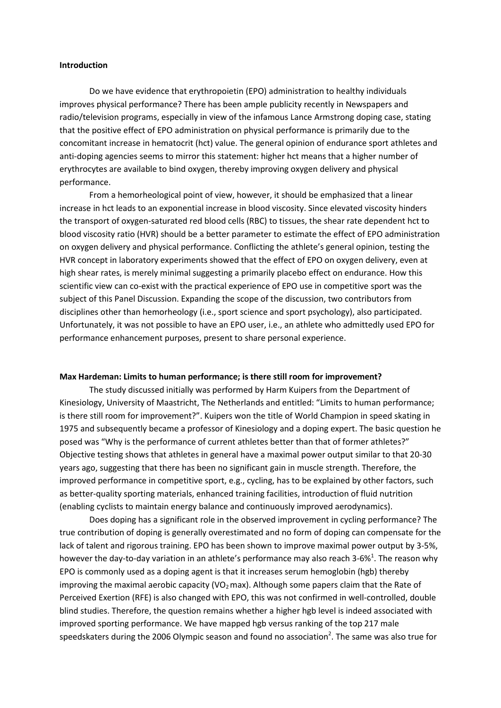### **Introduction**

Do we have evidence that erythropoietin (EPO) administration to healthy individuals improves physical performance? There has been ample publicity recently in Newspapers and radio/television programs, especially in view of the infamous Lance Armstrong doping case, stating that the positive effect of EPO administration on physical performance is primarily due to the concomitant increase in hematocrit (hct) value. The general opinion of endurance sport athletes and anti-doping agencies seems to mirror this statement: higher hct means that a higher number of erythrocytes are available to bind oxygen, thereby improving oxygen delivery and physical performance.

From a hemorheological point of view, however, it should be emphasized that a linear increase in hct leads to an exponential increase in blood viscosity. Since elevated viscosity hinders the transport of oxygen-saturated red blood cells (RBC) to tissues, the shear rate dependent hct to blood viscosity ratio (HVR) should be a better parameter to estimate the effect of EPO administration on oxygen delivery and physical performance. Conflicting the athlete's general opinion, testing the HVR concept in laboratory experiments showed that the effect of EPO on oxygen delivery, even at high shear rates, is merely minimal suggesting a primarily placebo effect on endurance. How this scientific view can co-exist with the practical experience of EPO use in competitive sport was the subject of this Panel Discussion. Expanding the scope of the discussion, two contributors from disciplines other than hemorheology (i.e., sport science and sport psychology), also participated. Unfortunately, it was not possible to have an EPO user, i.e., an athlete who admittedly used EPO for performance enhancement purposes, present to share personal experience.

#### **Max Hardeman: Limits to human performance; is there still room for improvement?**

The study discussed initially was performed by Harm Kuipers from the Department of Kinesiology, University of Maastricht, The Netherlands and entitled: "Limits to human performance; is there still room for improvement?". Kuipers won the title of World Champion in speed skating in 1975 and subsequently became a professor of Kinesiology and a doping expert. The basic question he posed was "Why is the performance of current athletes better than that of former athletes?" Objective testing shows that athletes in general have a maximal power output similar to that 20-30 years ago, suggesting that there has been no significant gain in muscle strength. Therefore, the improved performance in competitive sport, e.g., cycling, has to be explained by other factors, such as better-quality sporting materials, enhanced training facilities, introduction of fluid nutrition (enabling cyclists to maintain energy balance and continuously improved aerodynamics).

Does doping has a significant role in the observed improvement in cycling performance? The true contribution of doping is generally overestimated and no form of doping can compensate for the lack of talent and rigorous training. EPO has been shown to improve maximal power output by 3-5%, however the day-to-day variation in an athlete's performance may also reach 3-6%<sup>1</sup>[.](#page-8-0) The reason why EPO is commonly used as a doping agent is that it increases serum hemoglobin (hgb) thereby improving the maximal aerobic capacity (VO<sub>2</sub> max). Although some papers claim that the Rate of Perceived Exertion (RFE) is also changed with EPO, this was not confirmed in well-controlled, double blind studies. Therefore, the question remains whether a higher hgb level is indeed associated with improved sporting performance. We have mapped hgb versus ranking of the top 217 male speedskaters during the 2006 Olympic season and found no association<sup>2</sup>. The same was also true for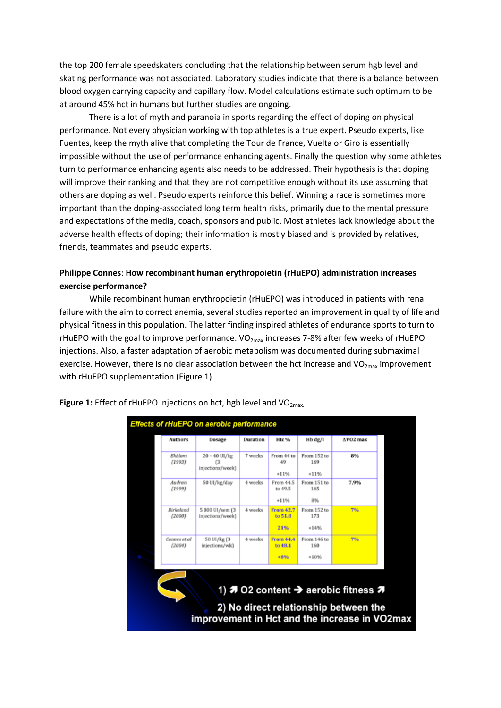the top 200 female speedskaters concluding that the relationship between serum hgb level and skating performance was not associated. Laboratory studies indicate that there is a balance between blood oxygen carrying capacity and capillary flow. Model calculations estimate such optimum to be at around 45% hct in humans but further studies are ongoing.

There is a lot of myth and paranoia in sports regarding the effect of doping on physical performance. Not every physician working with top athletes is a true expert. Pseudo experts, like Fuentes, keep the myth alive that completing the Tour de France, Vuelta or Giro is essentially impossible without the use of performance enhancing agents. Finally the question why some athletes turn to performance enhancing agents also needs to be addressed. Their hypothesis is that doping will improve their ranking and that they are not competitive enough without its use assuming that others are doping as well. Pseudo experts reinforce this belief. Winning a race is sometimes more important than the doping-associated long term health risks, primarily due to the mental pressure and expectations of the media, coach, sponsors and public. Most athletes lack knowledge about the adverse health effects of doping; their information is mostly biased and is provided by relatives, friends, teammates and pseudo experts.

### **Philippe Connes**: **How recombinant human erythropoietin (rHuEPO) administration increases exercise performance?**

While recombinant human erythropoietin (rHuEPO) was introduced in patients with renal failure with the aim to correct anemia, several studies reported an improvement in quality of life and physical fitness in this population. The latter finding inspired athletes of endurance sports to turn to rHuEPO with the goal to improve performance.  $VO_{2max}$  increases 7-8% after few weeks of rHuEPO injections. Also, a faster adaptation of aerobic metabolism was documented during submaximal exercise. However, there is no clear association between the hct increase and  $VO_{2max}$  improvement with rHuEPO supplementation (Figure 1).



**Figure 1:** Effect of rHuEPO injections on hct, hgb level and VO<sub>2max</sub>.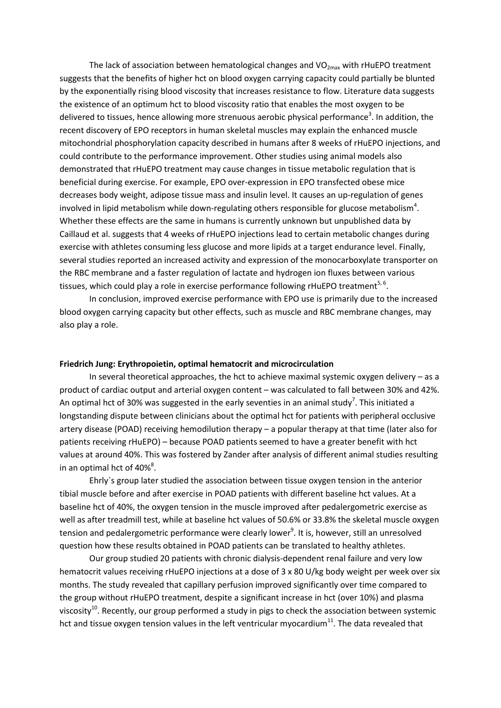The lack of association between hematological changes and  $VO<sub>2max</sub>$  with rHuEPO treatment suggests that the benefits of higher hct on blood oxygen carrying capacity could partially be blunted by the exponentially rising blood viscosity that increases resistance to flow. Literature data suggests the existence of an optimum hct to blood viscosity ratio that enables the most oxygen to be delivered to tissues, hence allowing more strenuous aerobic physical performance<sup>3</sup>[.](#page-8-2) In addition, the recent discovery of EPO receptors in human skeletal muscles may explain the enhanced muscle mitochondrial phosphorylation capacity described in humans after 8 weeks of rHuEPO injections, and could contribute to the performance improvement. Other studies using animal models also demonstrated that rHuEPO treatment may cause changes in tissue metabolic regulation that is beneficial during exercise. For example, EPO over-expression in EPO transfected obese mice decreases body weight, adipose tissue mass and insulin level. It causes an up-regulation of genes involved in lipid metabolism while down-regulating others responsible for glucose metabolism<sup>4</sup>[.](#page-8-3) Whether these effects are the same in humans is currently unknown but unpublished data by Caillaud et al. suggests that 4 weeks of rHuEPO injections lead to certain metabolic changes during exercise with athletes consuming less glucose and more lipids at a target endurance level. Finally, several studies reported an increased activity and expression of the monocarboxylate transporter on the RBC membrane and a faster regulation of lactate and hydrogen ion fluxes between various tissues, which could play a role in exercise performance following rHuEPO treatment<sup>[5,](#page-8-4) [6](#page-8-5)</sup>.

In conclusion, improved exercise performance with EPO use is primarily due to the increased blood oxygen carrying capacity but other effects, such as muscle and RBC membrane changes, may also play a role.

#### **Friedrich Jung: Erythropoietin, optimal hematocrit and microcirculation**

In several theoretical approaches, the hct to achieve maximal systemic oxygen delivery  $-$  as a product of cardiac output and arterial oxygen content – was calculated to fall between 30% and 42%. An optimal hct of 30% was suggested in the earl[y](#page-8-6) seventies in an animal study<sup>7</sup>. This initiated a longstanding dispute between clinicians about the optimal hct for patients with peripheral occlusive artery disease (POAD) receiving hemodilution therapy – a popular therapy at that time (later also for patients receiving rHuEPO) – because POAD patients seemed to have a greater benefit with hct values at around 40%. This was fostered by Zander after analysis of different animal studies resulting in an optimal hct of  $40\%$  $40\%$ <sup>8</sup>.

Ehrly`s group later studied the association between tissue oxygen tension in the anterior tibial muscle before and after exercise in POAD patients with different baseline hct values. At a baseline hct of 40%, the oxygen tension in the muscle improved after pedalergometric exercise as well as after treadmill test, while at baseline hct values of 50.6% or 33.8% the skeletal muscle oxygen tension and pedale[r](#page-8-8)gometric performance were clearly lower<sup>9</sup>. It is, however, still an unresolved question how these results obtained in POAD patients can be translated to healthy athletes.

Our group studied 20 patients with chronic dialysis-dependent renal failure and very low hematocrit values receiving rHuEPO injections at a dose of 3 x 80 U/kg body weight per week over six months. The study revealed that capillary perfusion improved significantly over time compared to the group without rHuEPO treatment, despite a significant increase in hct (over 10%) and plasma viscosity<sup>10</sup>. Recently, our group performed a study in pigs to check the association between systemic hct and tissue oxygen tension values in the left ventricular myocardium $^{11}$ . The data revealed that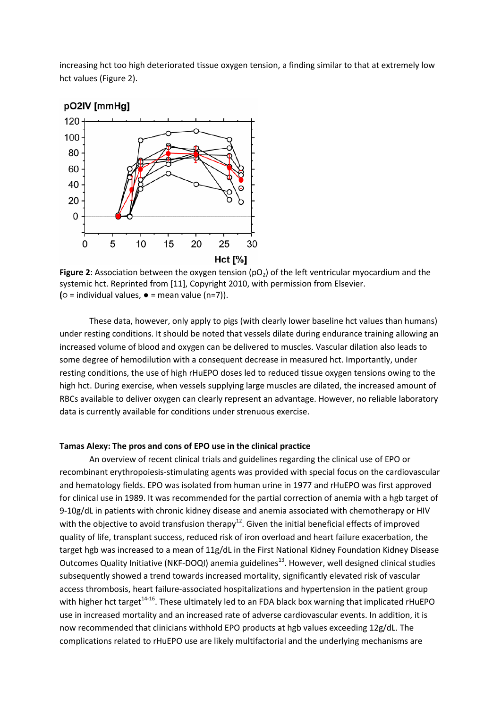increasing hct too high deteriorated tissue oxygen tension, a finding similar to that at extremely low hct values (Figure 2).



**Figure 2**: Association between the oxygen tension (pO<sub>2</sub>) of the left ventricular myocardium and the systemic hct. Reprinted from [11], Copyright 2010, with permission from Elsevier. **(○** = individual values, ● = mean value (n=7)).

These data, however, only apply to pigs (with clearly lower baseline hct values than humans) under resting conditions. It should be noted that vessels dilate during endurance training allowing an increased volume of blood and oxygen can be delivered to muscles. Vascular dilation also leads to some degree of hemodilution with a consequent decrease in measured hct. Importantly, under resting conditions, the use of high rHuEPO doses led to reduced tissue oxygen tensions owing to the high hct. During exercise, when vessels supplying large muscles are dilated, the increased amount of RBCs available to deliver oxygen can clearly represent an advantage. However, no reliable laboratory data is currently available for conditions under strenuous exercise.

#### **Tamas Alexy: The pros and cons of EPO use in the clinical practice**

An overview of recent clinical trials and guidelines regarding the clinical use of EPO or recombinant erythropoiesis-stimulating agents was provided with special focus on the cardiovascular and hematology fields. EPO was isolated from human urine in 1977 and rHuEPO was first approved for clinical use in 1989. It was recommended for the partial correction of anemia with a hgb target of 9-10g/dL in patients with chronic kidney disease and anemia associated with chemotherapy or HIV with the objective to avoid transfusion therapy<sup>12</sup>. Given the initial beneficial effects of improved quality of life, transplant success, reduced risk of iron overload and heart failure exacerbation, the target hgb was increased to a mean of 11g/dL in the First National Kidney Foundation Kidney Disease Outcomes Quality Initiative (NKF-DOQI) anemia guidelines<sup>13</sup>. However, well designed clinical studies subsequently showed a trend towards increased mortality, significantly elevated risk of vascular access thrombosis, heart failure-associated hospitalizations and hypertension in the patient group with higher hct target<sup>14-16</sup>. These ultimately led to an FDA black box warning that implicated rHuEPO use in increased mortality and an increased rate of adverse cardiovascular events. In addition, it is now recommended that clinicians withhold EPO products at hgb values exceeding 12g/dL. The complications related to rHuEPO use are likely multifactorial and the underlying mechanisms are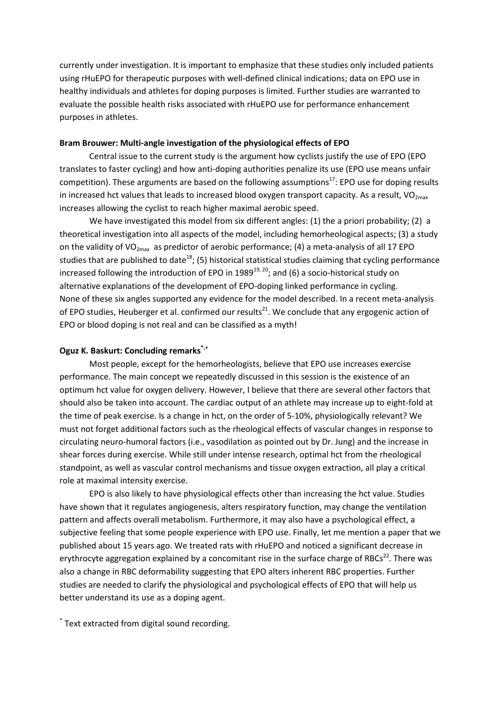currently under investigation. It is important to emphasize that these studies only included patients using rHuEPO for therapeutic purposes with well-defined clinical indications; data on EPO use in healthy individuals and athletes for doping purposes is limited. Further studies are warranted to evaluate the possible health risks associated with rHuEPO use for performance enhancement purposes in athletes.

### **Bram Brouwer: Multi-angle investigation of the physiological effects of EPO**

Central issue to the current study is the argument how cyclists justify the use of EPO (EPO translates to faster cycling) and how anti-doping authorities penalize its use (EPO use means unfair competition). These arguments are based on the following assumptions<sup>17</sup>: EPO use for doping results in increased hct values that leads to increased blood oxygen transport capacity. As a result,  $VO_{2max}$ increases allowing the cyclist to reach higher maximal aerobic speed.

We have investigated this model from six different angles: (1) the a priori probability; (2) a theoretical investigation into all aspects of the model, including hemorheological aspects; (3) a study on the validity of VO<sub>2max</sub> as predictor of aerobic performance; (4) a meta-analysis of all 17 EPO studies that are published to date<sup>[18](#page-9-0)</sup>; (5) historical statistical studies claiming that cycling performance increased following the introduction of EPO in 1989<sup>[19,](#page-9-1) [20](#page-9-2)</sup>; and (6) a socio-historical study on alternative explanations of the development of EPO-doping linked performance in cycling. None of these six angles supported any evidence for the model described. In a recent meta-analysis of EPO studies, Heuberger et al. confirmed our results<sup>21</sup>. We conclude that any ergogenic action of EPO or blood doping is not real and can be classified as a myth!

### **Oguz K. Baskurt: Concluding remarks\*,+**

Most people, except for the hemorheologists, believe that EPO use increases exercise performance. The main concept we repeatedly discussed in this session is the existence of an optimum hct value for oxygen delivery. However, I believe that there are several other factors that should also be taken into account. The cardiac output of an athlete may increase up to eight-fold at the time of peak exercise. Is a change in hct, on the order of 5-10%, physiologically relevant? We must not forget additional factors such as the rheological effects of vascular changes in response to circulating neuro-humoral factors (i.e., vasodilation as pointed out by Dr. Jung) and the increase in shear forces during exercise. While still under intense research, optimal hct from the rheological standpoint, as well as vascular control mechanisms and tissue oxygen extraction, all play a critical role at maximal intensity exercise.

EPO is also likely to have physiological effects other than increasing the hct value. Studies have shown that it regulates angiogenesis, alters respiratory function, may change the ventilation pattern and affects overall metabolism. Furthermore, it may also have a psychological effect, a subjective feeling that some people experience with EPO use. Finally, let me mention a paper that we published about 15 years ago. We treated rats with rHuEPO and noticed a significant decrease in erythrocyte aggregation explained by a concomitant rise in the surface charge of RBCs<sup>22</sup>. There was also a change in RBC deformability suggesting that EPO alters inherent RBC properties. Further studies are needed to clarify the physiological and psychological effects of EPO that will help us better understand its use as a doping agent.

\* Text extracted from digital sound recording.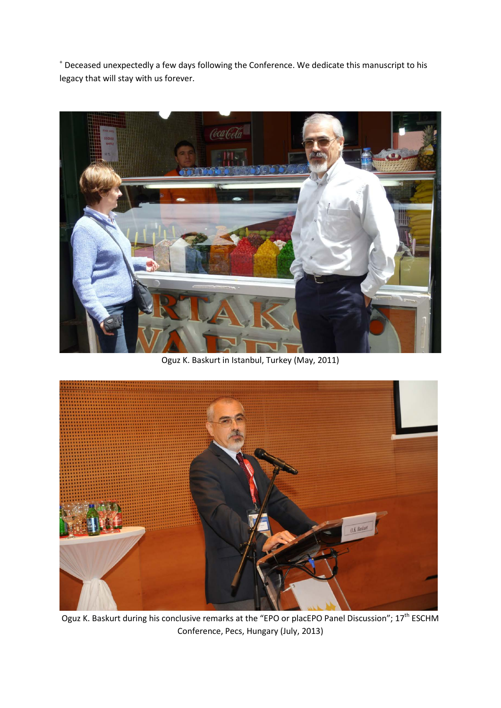<sup>+</sup> Deceased unexpectedly a few days following the Conference. We dedicate this manuscript to his legacy that will stay with us forever.



Oguz K. Baskurt in Istanbul, Turkey (May, 2011)



Oguz K. Baskurt during his conclusive remarks at the "EPO or placEPO Panel Discussion"; 17<sup>th</sup> ESCHM Conference, Pecs, Hungary (July, 2013)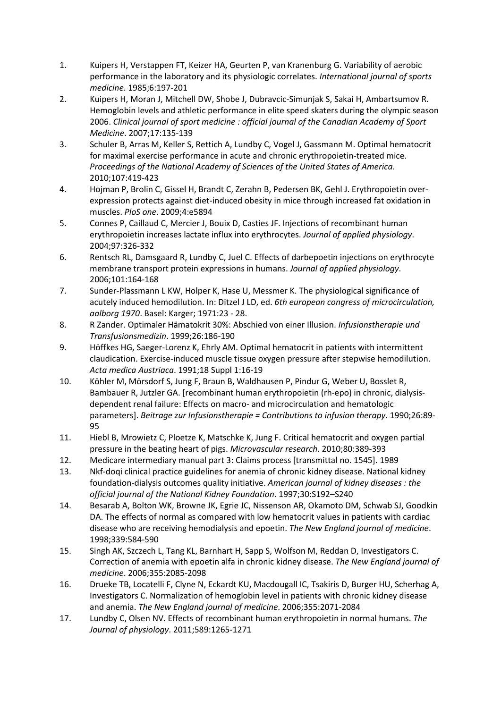- <span id="page-8-0"></span>1. Kuipers H, Verstappen FT, Keizer HA, Geurten P, van Kranenburg G. Variability of aerobic performance in the laboratory and its physiologic correlates. *International journal of sports medicine*. 1985;6:197-201
- <span id="page-8-1"></span>2. Kuipers H, Moran J, Mitchell DW, Shobe J, Dubravcic-Simunjak S, Sakai H, Ambartsumov R. Hemoglobin levels and athletic performance in elite speed skaters during the olympic season 2006. *Clinical journal of sport medicine : official journal of the Canadian Academy of Sport Medicine*. 2007;17:135-139
- <span id="page-8-2"></span>3. Schuler B, Arras M, Keller S, Rettich A, Lundby C, Vogel J, Gassmann M. Optimal hematocrit for maximal exercise performance in acute and chronic erythropoietin-treated mice. *Proceedings of the National Academy of Sciences of the United States of America*. 2010;107:419-423
- <span id="page-8-3"></span>4. Hojman P, Brolin C, Gissel H, Brandt C, Zerahn B, Pedersen BK, Gehl J. Erythropoietin overexpression protects against diet-induced obesity in mice through increased fat oxidation in muscles. *PloS one*. 2009;4:e5894
- <span id="page-8-4"></span>5. Connes P, Caillaud C, Mercier J, Bouix D, Casties JF. Injections of recombinant human erythropoietin increases lactate influx into erythrocytes. *Journal of applied physiology*. 2004;97:326-332
- <span id="page-8-5"></span>6. Rentsch RL, Damsgaard R, Lundby C, Juel C. Effects of darbepoetin injections on erythrocyte membrane transport protein expressions in humans. *Journal of applied physiology*. 2006;101:164-168
- <span id="page-8-6"></span>7. Sunder-Plassmann L KW, Holper K, Hase U, Messmer K. The physiological significance of acutely induced hemodilution. In: Ditzel J LD, ed. *6th european congress of microcirculation, aalborg 1970*. Basel: Karger; 1971:23 - 28.
- <span id="page-8-7"></span>8. R Zander. Optimaler Hämatokrit 30%: Abschied von einer Illusion. *Infusionstherapie und Transfusionsmedizin*. 1999;26:186-190
- <span id="page-8-8"></span>9. Höffkes HG, Saeger-Lorenz K, Ehrly AM. Optimal hematocrit in patients with intermittent claudication. Exercise-induced muscle tissue oxygen pressure after stepwise hemodilution. *Acta medica Austriaca*. 1991;18 Suppl 1:16-19
- <span id="page-8-9"></span>10. Köhler M, Mörsdorf S, Jung F, Braun B, Waldhausen P, Pindur G, Weber U, Bosslet R, Bambauer R, Jutzler GA. [recombinant human erythropoietin (rh-epo) in chronic, dialysisdependent renal failure: Effects on macro- and microcirculation and hematologic parameters]. *Beitrage zur Infusionstherapie = Contributions to infusion therapy*. 1990;26:89- 95
- <span id="page-8-10"></span>11. Hiebl B, Mrowietz C, Ploetze K, Matschke K, Jung F. Critical hematocrit and oxygen partial pressure in the beating heart of pigs. *Microvascular research*. 2010;80:389-393
- <span id="page-8-11"></span>12. Medicare intermediary manual part 3: Claims process [transmittal no. 1545]. 1989
- <span id="page-8-12"></span>13. Nkf-doqi clinical practice guidelines for anemia of chronic kidney disease. National kidney foundation-dialysis outcomes quality initiative. *American journal of kidney diseases : the official journal of the National Kidney Foundation*. 1997;30:S192–S240
- <span id="page-8-13"></span>14. Besarab A, Bolton WK, Browne JK, Egrie JC, Nissenson AR, Okamoto DM, Schwab SJ, Goodkin DA. The effects of normal as compared with low hematocrit values in patients with cardiac disease who are receiving hemodialysis and epoetin. *The New England journal of medicine*. 1998;339:584-590
- 15. Singh AK, Szczech L, Tang KL, Barnhart H, Sapp S, Wolfson M, Reddan D, Investigators C. Correction of anemia with epoetin alfa in chronic kidney disease. *The New England journal of medicine*. 2006;355:2085-2098
- 16. Drueke TB, Locatelli F, Clyne N, Eckardt KU, Macdougall IC, Tsakiris D, Burger HU, Scherhag A, Investigators C. Normalization of hemoglobin level in patients with chronic kidney disease and anemia. *The New England journal of medicine*. 2006;355:2071-2084
- <span id="page-8-14"></span>17. Lundby C, Olsen NV. Effects of recombinant human erythropoietin in normal humans. *The Journal of physiology*. 2011;589:1265-1271